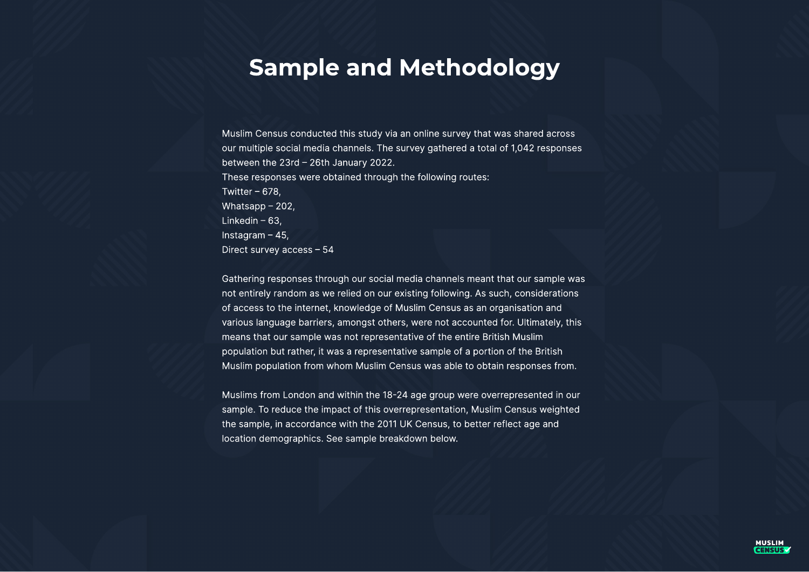

## Sample and Methodology

Muslim Census conducted this study via an online survey that was shared across our multiple social media channels. The survey gathered a total of 1,042 responses between the 23rd – 26th January 2022. These responses were obtained through the following routes: Twitter – 678, Whatsapp – 202, Linkedin – 63, Instagram – 45, Direct survey access – 54

Gathering responses through our social media channels meant that our sample was not entirely random as we relied on our existing following. As such, considerations of access to the internet, knowledge of Muslim Census as an organisation and various language barriers, amongst others, were not accounted for. Ultimately, this means that our sample was not representative of the entire British Muslim population but rather, it was a representative sample of a portion of the British Muslim population from whom Muslim Census was able to obtain responses from.

Muslims from London and within the 18-24 age group were overrepresented in our sample. To reduce the impact of this overrepresentation, Muslim Census weighted the sample, in accordance with the 2011 UK Census, to better reflect age and location demographics. See sample breakdown below.